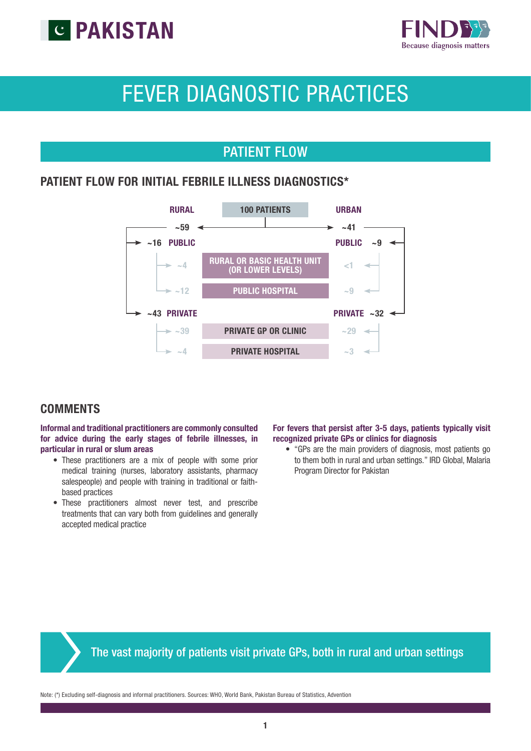



# FEVER DIAGNOSTIC PRACTICES

### PATIENT FLOW

### PATIENT FLOW FOR INITIAL FEBRILE ILLNESS DIAGNOSTICS\*



### **COMMENTS**

Informal and traditional practitioners are commonly consulted for advice during the early stages of febrile illnesses, in particular in rural or slum areas

- These practitioners are a mix of people with some prior medical training (nurses, laboratory assistants, pharmacy salespeople) and people with training in traditional or faithbased practices
- These practitioners almost never test, and prescribe treatments that can vary both from guidelines and generally accepted medical practice

### For fevers that persist after 3-5 days, patients typically visit recognized private GPs or clinics for diagnosis

• "GPs are the main providers of diagnosis, most patients go to them both in rural and urban settings." IRD Global, Malaria Program Director for Pakistan

### The vast majority of patients visit private GPs, both in rural and urban settings

Note: (\*) Excluding self-diagnosis and informal practitioners. Sources: WHO, World Bank, Pakistan Bureau of Statistics, Advention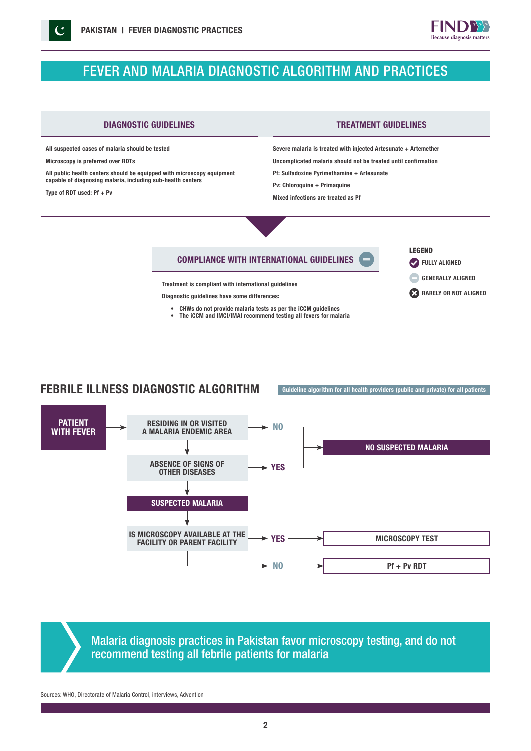

## FEVER AND MALARIA DIAGNOSTIC ALGORITHM AND PRACTICES



All suspected cases of malaria should be tested

Microscopy is preferred over RDTs

All public health centers should be equipped with microscopy equipment capable of diagnosing malaria, including sub-health centers

Type of RDT used: Pf + Pv

LEGEND

**FULLY ALIGNED** 

RARELY OR NOT ALIGNED GENERALLY ALIGNED

diagnosis matters

Severe malaria is treated with injected Artesunate + Artemether Uncomplicated malaria should not be treated until confirmation Pf: Sulfadoxine Pyrimethamine + Artesunate

Pv: Chloroquine + Primaquine

Mixed infections are treated as Pf

### COMPLIANCE WITH INTERNATIONAL GUIDELINES

Treatment is compliant with international guidelines

Diagnostic guidelines have some differences:

• CHWs do not provide malaria tests as per the iCCM guidelines • The iCCM and IMCI/IMAI recommend testing all fevers for malaria





Malaria diagnosis practices in Pakistan favor microscopy testing, and do not recommend testing all febrile patients for malaria

Sources: WHO, Directorate of Malaria Control, interviews, Advention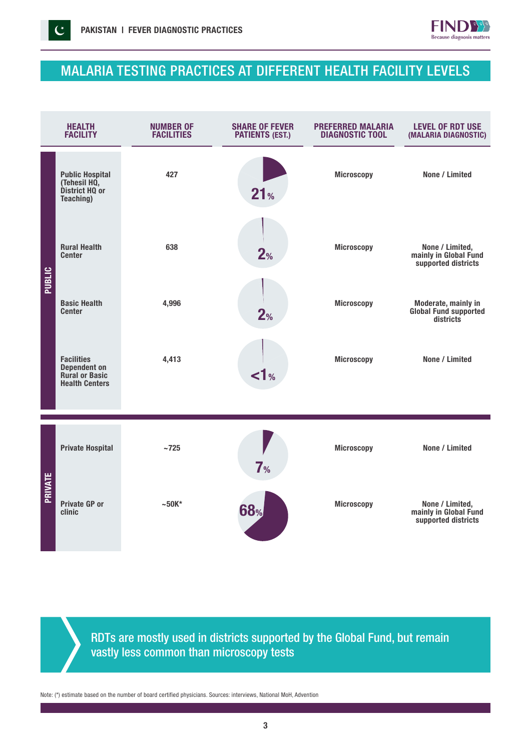$\mathcal{C}$ 



## MALARIA TESTING PRACTICES AT DIFFERENT HEALTH FACILITY LEVELS

| <b>HEALTH</b><br><b>FACILITY</b> |                                                                                            | <b>NUMBER OF</b><br><b>FACILITIES</b> | <b>SHARE OF FEVER</b><br><b>PATIENTS (EST.)</b> | PREFERRED MALARIA<br><b>DIAGNOSTIC TOOL</b> | <b>LEVEL OF RDT USE</b><br>(MALARIA DIAGNOSTIC)                 |
|----------------------------------|--------------------------------------------------------------------------------------------|---------------------------------------|-------------------------------------------------|---------------------------------------------|-----------------------------------------------------------------|
|                                  | <b>Public Hospital</b><br>(Tehesil HQ,<br>District HQ or<br>Teaching)                      | 427                                   | 21 <sub>%</sub>                                 | <b>Microscopy</b>                           | None / Limited                                                  |
| PUBLIC                           | <b>Rural Health</b><br><b>Center</b>                                                       | 638                                   | 2%                                              | <b>Microscopy</b>                           | None / Limited,<br>mainly in Global Fund<br>supported districts |
|                                  | <b>Basic Health</b><br><b>Center</b>                                                       | 4,996                                 | 2%                                              | <b>Microscopy</b>                           | Moderate, mainly in<br>Global Fund supported<br>districts       |
|                                  | <b>Facilities</b><br><b>Dependent on</b><br><b>Rural or Basic</b><br><b>Health Centers</b> | 4,413                                 | $\leq 1$ %                                      | <b>Microscopy</b>                           | None / Limited                                                  |
|                                  |                                                                                            |                                       |                                                 |                                             |                                                                 |
| PRIVATE                          | <b>Private Hospital</b>                                                                    | $~1$ -725                             | 7 <sub>%</sub>                                  | <b>Microscopy</b>                           | None / Limited                                                  |
|                                  | <b>Private GP or</b><br>clinic                                                             | $~50K$ *                              | <b>68%</b>                                      | <b>Microscopy</b>                           | None / Limited,<br>mainly in Global Fund<br>supported districts |

RDTs are mostly used in districts supported by the Global Fund, but remain vastly less common than microscopy tests

Note: (\*) estimate based on the number of board certified physicians. Sources: interviews, National MoH, Advention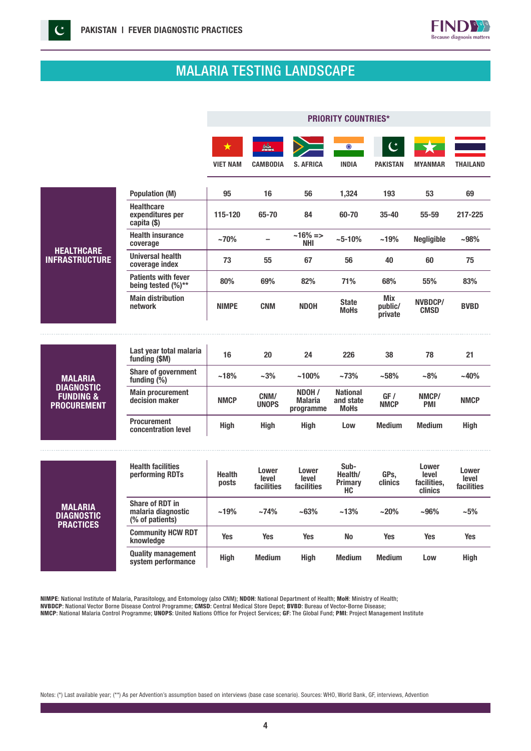

## MALARIA TESTING LANDSCAPE

|                                                                 |                                                                 | <b>PRIORITY COUNTRIES*</b> |                              |                                       |                                             |                           |                                                 |                              |
|-----------------------------------------------------------------|-----------------------------------------------------------------|----------------------------|------------------------------|---------------------------------------|---------------------------------------------|---------------------------|-------------------------------------------------|------------------------------|
|                                                                 |                                                                 | ★<br><b>VIET NAM</b>       | <b>CAMBODIA</b>              | <b>S. AFRICA</b>                      | $_{\odot}$<br><b>INDIA</b>                  | <b>PAKISTAN</b>           | <b>MYANMAR</b>                                  | <b>THAILAND</b>              |
|                                                                 |                                                                 |                            |                              |                                       |                                             |                           |                                                 |                              |
|                                                                 | <b>Population (M)</b>                                           | 95                         | 16                           | 56                                    | 1,324                                       | 193                       | 53                                              | 69                           |
|                                                                 | <b>Healthcare</b><br>expenditures per<br>capita (\$)            | 115-120                    | 65-70                        | 84                                    | 60-70                                       | 35-40                     | $55 - 59$                                       | 217-225                      |
|                                                                 | <b>Health insurance</b><br>coverage                             | ~170%                      | $\overline{\phantom{0}}$     | $~16\% = >$<br>NHI                    | $~10\%$                                     | ~19%                      | <b>Negligible</b>                               | $-98%$                       |
| <b>HEALTHCARE</b><br><b>INFRASTRUCTURE</b>                      | <b>Universal health</b><br>coverage index                       | 73                         | 55                           | 67                                    | 56                                          | 40                        | 60                                              | 75                           |
|                                                                 | <b>Patients with fever</b><br>being tested $(%)**$              | 80%                        | 69%                          | 82%                                   | 71%                                         | 68%                       | 55%                                             | 83%                          |
|                                                                 | <b>Main distribution</b><br>network                             | <b>NIMPE</b>               | <b>CNM</b>                   | <b>NDOH</b>                           | <b>State</b><br><b>MoHs</b>                 | Mix<br>public/<br>private | NVBDCP/<br><b>CMSD</b>                          | <b>BVBD</b>                  |
|                                                                 |                                                                 |                            |                              |                                       |                                             |                           |                                                 |                              |
|                                                                 | Last year total malaria<br>funding (\$M)                        | 16                         | 20                           | 24                                    | 226                                         | 38                        | 78                                              | 21                           |
| <b>MALARIA</b>                                                  | <b>Share of government</b><br>funding $(\bar{\%})$              | ~18%                       | $~1.3\%$                     | $~100\%$                              | $~1.73\%$                                   | ~158%                     | ~18%                                            | $-40%$                       |
| <b>DIAGNOSTIC</b><br><b>FUNDING &amp;</b><br><b>PROCUREMENT</b> | <b>Main procurement</b><br>decision maker                       | <b>NMCP</b>                | CNM/<br><b>UNOPS</b>         | NDOH /<br><b>Malaria</b><br>programme | <b>National</b><br>and state<br><b>MoHs</b> | GF /<br><b>NMCP</b>       | NMCP/<br><b>PMI</b>                             | <b>NMCP</b>                  |
|                                                                 | <b>Procurement</b><br>concentration level                       | <b>High</b>                | <b>High</b>                  | High                                  | Low                                         | <b>Medium</b>             | <b>Medium</b>                                   | High                         |
|                                                                 |                                                                 |                            |                              |                                       |                                             |                           |                                                 |                              |
|                                                                 | <b>Health facilities</b><br>performing RDTs                     | <b>Health</b><br>posts     | Lower<br>level<br>facilities | Lower<br>level<br>facilities          | Sub-<br>Health/<br><b>Primary</b><br>HC     | GPs,<br>clinics           | Lower<br>level<br>facilities,<br><b>clinics</b> | Lower<br>level<br>facilities |
| <b>MALARIA</b><br><b>DIAGNOSTIC</b><br><b>PRACTICES</b>         | <b>Share of RDT in</b><br>malaria diagnostic<br>(% of patients) | ~19%                       | ~174%                        | ~163%                                 | ~13%                                        | $~20\%$                   | $-96%$                                          | $-5%$<br><b>Yes</b><br>High  |
|                                                                 | <b>Community HCW RDT</b><br>knowledge                           | <b>Yes</b>                 | <b>Yes</b>                   | <b>Yes</b>                            | <b>No</b>                                   | <b>Yes</b>                | <b>Yes</b>                                      |                              |
|                                                                 | <b>Quality management</b><br>system performance                 | <b>High</b>                | <b>Medium</b>                | High                                  | <b>Medium</b>                               | <b>Medium</b>             | Low                                             |                              |

NIMPE: National Institute of Malaria, Parasitology, and Entomology (also CNM); NDOH: National Department of Health; MoH: Ministry of Health; NVBDCP: National Vector Borne Disease Control Programme; CMSD: Central Medical Store Depot; BVBD: Bureau of Vector-Borne Disease;

NMCP: National Malaria Control Programme; UNOPS: United Nations Office for Project Services; GF: The Global Fund; PMI: Project Management Institute

Notes: (\*) Last available year; (\*\*) As per Advention's assumption based on interviews (base case scenario). Sources: WHO, World Bank, GF, interviews, Advention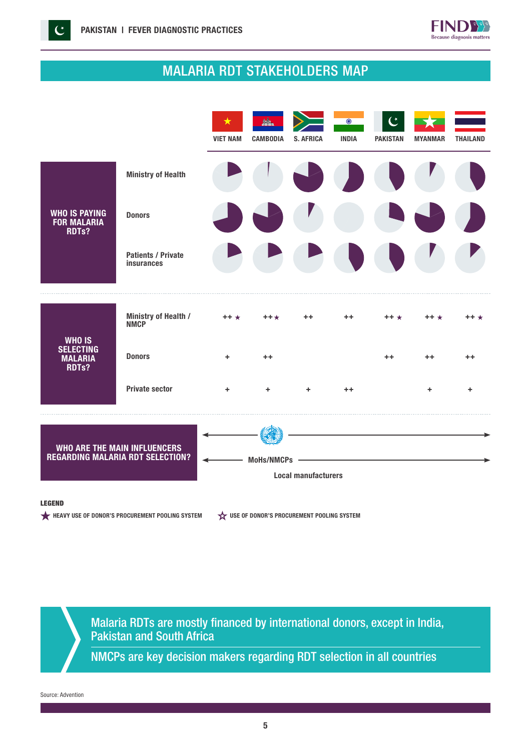

## MALARIA RDT STAKEHOLDERS MAP



### LEGEND

HEAVY USE OF DONOR'S PROCUREMENT POOLING SYSTEM  $\overleftrightarrow{\mathbf{x}}$  use of Donor's procurement pooling system

Malaria RDTs are mostly financed by international donors, except in India, Pakistan and South Africa

NMCPs are key decision makers regarding RDT selection in all countries

Source: Advention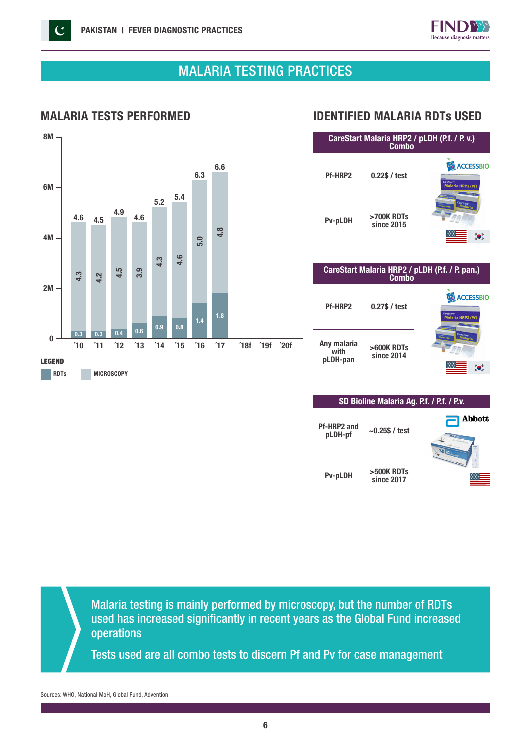

## MALARIA TESTING PRACTICES



### MALARIA TESTS PERFORMED IDENTIFIED MALARIA RDTs USED

| CareStart Malaria HRP2 / pLDH (P.f. / P.v.)<br>Combo |                                                                |                                                                        |  |  |
|------------------------------------------------------|----------------------------------------------------------------|------------------------------------------------------------------------|--|--|
| Pf-HRP2                                              | $0.22$ \$ / test                                               | <b>ACCESSBIO</b><br>CareStart <sup>-</sup><br><b>Malaria HRP2 (Pf)</b> |  |  |
| <b>Pv-pLDH</b>                                       | >700K RDTs<br>since 2015                                       | CareStart <sup>-</sup><br>Malaria                                      |  |  |
|                                                      | CareStart Malaria HRP2 / pLDH (P.f. / P. pan.)<br><b>Combo</b> |                                                                        |  |  |
| <b>Pf-HRP2</b>                                       | $0.27$ \$ / test                                               | <b>CESSBIO</b>                                                         |  |  |

| Any malaria<br>with<br>pLDH-pan | >600K RDTs<br>since 2014 |  |
|---------------------------------|--------------------------|--|

**Pf-HRP** 

| SD Bioline Malaria Ag. P.f. / P.f. / P.v. |                          |             |  |  |
|-------------------------------------------|--------------------------|-------------|--|--|
| f-HRP2 and<br>pLDH-pf                     | $-0.25$ \$ / test        | Abbott<br>÷ |  |  |
| <b>Pv-pLDH</b>                            | >500K RDTs<br>since 2017 |             |  |  |

 $\bullet$ 

Malaria testing is mainly performed by microscopy, but the number of RDTs used has increased significantly in recent years as the Global Fund increased operations

Tests used are all combo tests to discern Pf and Pv for case management